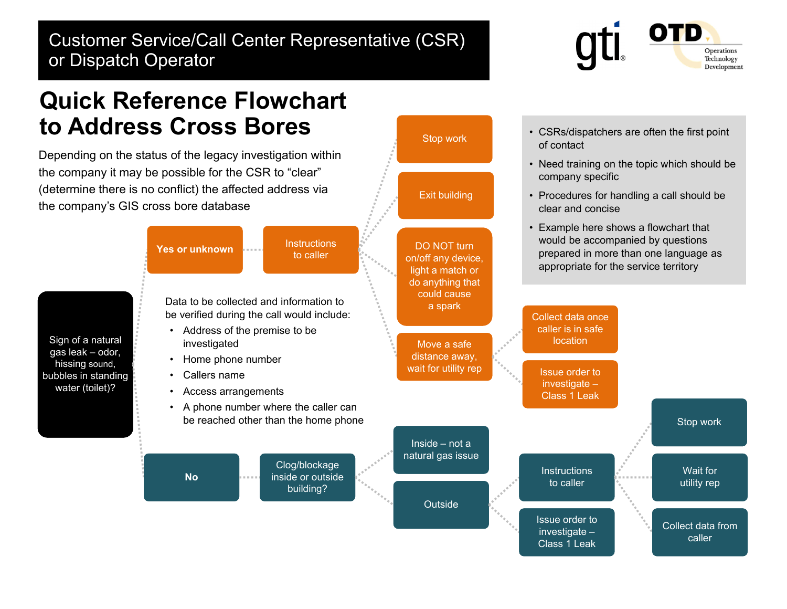## Customer Service/Call Center Representative (CSR) or Dispatch Operator



• CSRs/dispatchers are often the first point

• Need training on the topic which should be

• Procedures for handling a call should be

of contact

company specific

clear and concise

## **Quick Reference Flowchart to Address Cross Bores**

Depending on the status of the legacy investigation within the company it may be possible for the CSR to "clear" (determine there is no conflict) the affected address via the company's GIS cross bore database



Stop work

Exit building